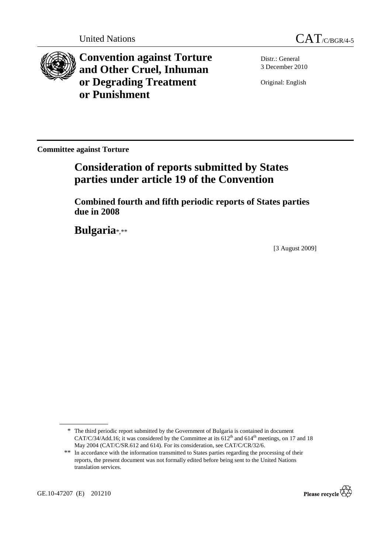



**Convention against Torture and Other Cruel, Inhuman or Degrading Treatment or Punishment**

Distr.: General 3 December 2010

Original: English

**Committee against Torture** 

# **Consideration of reports submitted by States parties under article 19 of the Convention**

 **Combined fourth and fifth periodic reports of States parties due in 2008** 

 **Bulgaria**\*,\*\*

[3 August 2009]



<sup>\*</sup> The third periodic report submitted by the Government of Bulgaria is contained in document CAT/C/34/Add.16; it was considered by the Committee at its  $612<sup>th</sup>$  and  $614<sup>th</sup>$  meetings, on 17 and 18 May 2004 (CAT/C/SR.612 and 614). For its consideration, see CAT/C/CR/32/6.

<sup>\*\*</sup> In accordance with the information transmitted to States parties regarding the processing of their reports, the present document was not formally edited before being sent to the United Nations translation services.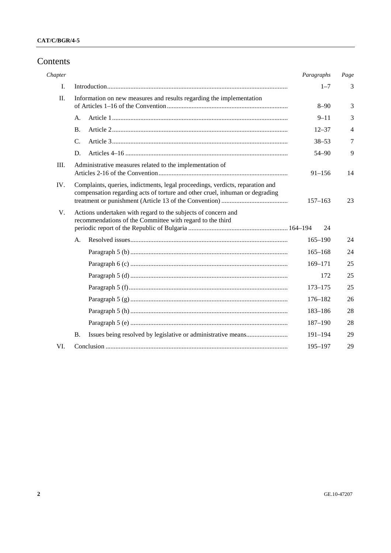## Contents

| Chapter |                                                                                                                                                               | Paragraphs  | Page           |
|---------|---------------------------------------------------------------------------------------------------------------------------------------------------------------|-------------|----------------|
| I.      |                                                                                                                                                               | $1 - 7$     | 3              |
| $\Pi$ . | Information on new measures and results regarding the implementation                                                                                          | $8 - 90$    | 3              |
|         | А.                                                                                                                                                            | $9 - 11$    | 3              |
|         | <b>B.</b>                                                                                                                                                     | $12 - 37$   | $\overline{4}$ |
|         | $C_{\cdot}$                                                                                                                                                   | $38 - 53$   | $\overline{7}$ |
|         | D.                                                                                                                                                            | $54 - 90$   | 9              |
| Ш.      | Administrative measures related to the implementation of                                                                                                      | $91 - 156$  | 14             |
| IV.     | Complaints, queries, indictments, legal proceedings, verdicts, reparation and<br>compensation regarding acts of torture and other cruel, inhuman or degrading | $157 - 163$ | 23             |
| V.      | Actions undertaken with regard to the subjects of concern and<br>recommendations of the Committee with regard to the third                                    | 24          |                |
|         | А.                                                                                                                                                            | $165 - 190$ | 24             |
|         |                                                                                                                                                               | $165 - 168$ | 24             |
|         |                                                                                                                                                               | 169-171     | 25             |
|         |                                                                                                                                                               | 172         | 25             |
|         |                                                                                                                                                               | $173 - 175$ | 25             |
|         |                                                                                                                                                               | $176 - 182$ | 26             |
|         |                                                                                                                                                               | 183-186     | 28             |
|         |                                                                                                                                                               | $187 - 190$ | 28             |
|         | <b>B.</b>                                                                                                                                                     | $191 - 194$ | 29             |
| VI.     |                                                                                                                                                               | 195-197     | 29             |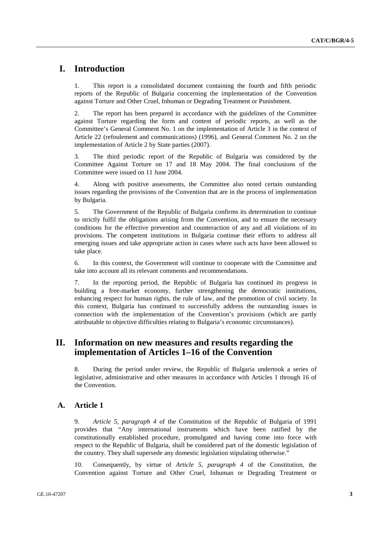## **I. Introduction**

1. This report is a consolidated document containing the fourth and fifth periodic reports of the Republic of Bulgaria concerning the implementation of the Convention against Torture and Other Cruel, Inhuman or Degrading Treatment or Punishment.

2. The report has been prepared in accordance with the guidelines of the Committee against Torture regarding the form and content of periodic reports, as well as the Committee's General Comment No. 1 on the implementation of Article 3 in the context of Article 22 (refoulement and communications) (1996), and General Comment No. 2 on the implementation of Article 2 by State parties (2007).

3. The third periodic report of the Republic of Bulgaria was considered by the Committee Against Torture on 17 and 18 May 2004. The final conclusions of the Committee were issued on 11 June 2004.

4. Along with positive assessments, the Committee also noted certain outstanding issues regarding the provisions of the Convention that are in the process of implementation by Bulgaria.

5. The Government of the Republic of Bulgaria confirms its determination to continue to strictly fulfil the obligations arising from the Convention, and to ensure the necessary conditions for the effective prevention and counteraction of any and all violations of its provisions. The competent institutions in Bulgaria continue their efforts to address all emerging issues and take appropriate action in cases where such acts have been allowed to take place.

6. In this context, the Government will continue to cooperate with the Committee and take into account all its relevant comments and recommendations.

7. In the reporting period, the Republic of Bulgaria has continued its progress in building a free-market economy, further strengthening the democratic institutions, enhancing respect for human rights, the rule of law, and the promotion of civil society. In this context, Bulgaria has continued to successfully address the outstanding issues in connection with the implementation of the Convention's provisions (which are partly attributable to objective difficulties relating to Bulgaria's economic circumstances).

## **II. Information on new measures and results regarding the implementation of Articles 1–16 of the Convention**

8. During the period under review, the Republic of Bulgaria undertook a series of legislative, administrative and other measures in accordance with Articles 1 through 16 of the Convention.

## **A. Article 1**

9. *Article 5, paragraph 4* of the Constitution of the Republic of Bulgaria of 1991 provides that "Any international instruments which have been ratified by the constitutionally established procedure, promulgated and having come into force with respect to the Republic of Bulgaria, shall be considered part of the domestic legislation of the country. They shall supersede any domestic legislation stipulating otherwise."

10. Consequently, by virtue of *Article 5, paragraph 4* of the Constitution, the Convention against Torture and Other Cruel, Inhuman or Degrading Treatment or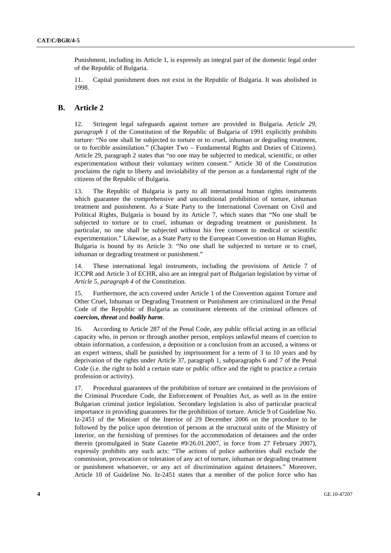Punishment, including its Article 1, is expressly an integral part of the domestic legal order of the Republic of Bulgaria.

11. Capital punishment does not exist in the Republic of Bulgaria. It was abolished in 1998.

### **B. Article 2**

12. Stringent legal safeguards against torture are provided in Bulgaria. *Article 29, paragraph 1* of the Constitution of the Republic of Bulgaria of 1991 explicitly prohibits torture: "No one shall be subjected to torture or to cruel, inhuman or degrading treatment, or to forcible assimilation." (Chapter Two – Fundamental Rights and Duties of Citizens). Article 29, paragraph 2 states that "no one may be subjected to medical, scientific, or other experimentation without their voluntary written consent." Article 30 of the Constitution proclaims the right to liberty and inviolability of the person as a fundamental right of the citizens of the Republic of Bulgaria.

13. The Republic of Bulgaria is party to all international human rights instruments which guarantee the comprehensive and unconditional prohibition of torture, inhuman treatment and punishment. As a State Party to the International Covenant on Civil and Political Rights, Bulgaria is bound by its Article 7, which states that "No one shall be subjected to torture or to cruel, inhuman or degrading treatment or punishment. In particular, no one shall be subjected without his free consent to medical or scientific experimentation." Likewise, as a State Party to the European Convention on Human Rights, Bulgaria is bound by its Article 3: "No one shall be subjected to torture or to cruel, inhuman or degrading treatment or punishment."

14. These international legal instruments, including the provisions of Article 7 of ICCPR and Article 3 of ECHR, also are an integral part of Bulgarian legislation by virtue of *Article 5, paragraph 4* of the Constitution.

15. Furthermore, the acts covered under Article 1 of the Convention against Torture and Other Cruel, Inhuman or Degrading Treatment or Punishment are criminalized in the Penal Code of the Republic of Bulgaria as constituent elements of the criminal offences of *coercion, threat* and *bodily harm*.

16. According to Article 287 of the Penal Code, any public official acting in an official capacity who, in person or through another person, employs unlawful means of coercion to obtain information, a confession, a deposition or a conclusion from an accused, a witness or an expert witness, shall be punished by imprisonment for a term of 3 to 10 years and by deprivation of the rights under Article 37, paragraph 1, subparagraphs 6 and 7 of the Penal Code (i.e. the right to hold a certain state or public office and the right to practice a certain profession or activity).

17. Procedural guarantees of the prohibition of torture are contained in the provisions of the Criminal Procedure Code, the Enforcement of Penalties Act, as well as in the entire Bulgarian criminal justice legislation. Secondary legislation is also of particular practical importance in providing guarantees for the prohibition of torture. Article 9 of Guideline No. Iz-2451 of the Minister of the Interior of 29 December 2006 on the procedure to be followed by the police upon detention of persons at the structural units of the Ministry of Interior, on the furnishing of premises for the accommodation of detainees and the order therein (promulgated in State Gazette #9/26.01.2007, in force from 27 February 2007), expressly prohibits any such acts: "The actions of police authorities shall exclude the commission, provocation or toleration of any act of torture, inhuman or degrading treatment or punishment whatsoever, or any act of discrimination against detainees." Moreover, Article 10 of Guideline No. Iz-2451 states that a member of the police force who has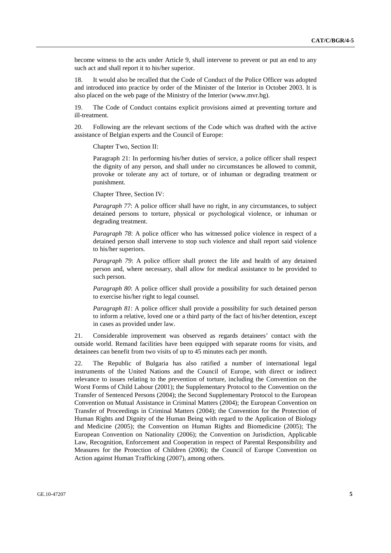become witness to the acts under Article 9, shall intervene to prevent or put an end to any such act and shall report it to his/her superior.

18. It would also be recalled that the Code of Conduct of the Police Officer was adopted and introduced into practice by order of the Minister of the Interior in October 2003. It is also placed on the web page of the Ministry of the Interior (www.mvr.bg).

19. The Code of Conduct contains explicit provisions aimed at preventing torture and ill-treatment.

20. Following are the relevant sections of the Code which was drafted with the active assistance of Belgian experts and the Council of Europe:

Chapter Two, Section II:

Paragraph 21: In performing his/her duties of service, a police officer shall respect the dignity of any person, and shall under no circumstances be allowed to commit, provoke or tolerate any act of torture, or of inhuman or degrading treatment or punishment.

Chapter Three, Section IV:

*Paragraph 77*: A police officer shall have no right, in any circumstances, to subject detained persons to torture, physical or psychological violence, or inhuman or degrading treatment.

*Paragraph 78*: A police officer who has witnessed police violence in respect of a detained person shall intervene to stop such violence and shall report said violence to his/her superiors.

*Paragraph 79*: A police officer shall protect the life and health of any detained person and, where necessary, shall allow for medical assistance to be provided to such person.

*Paragraph 80*: A police officer shall provide a possibility for such detained person to exercise his/her right to legal counsel.

*Paragraph 81*: A police officer shall provide a possibility for such detained person to inform a relative, loved one or a third party of the fact of his/her detention, except in cases as provided under law.

21. Considerable improvement was observed as regards detainees' contact with the outside world. Remand facilities have been equipped with separate rooms for visits, and detainees can benefit from two visits of up to 45 minutes each per month.

22. The Republic of Bulgaria has also ratified a number of international legal instruments of the United Nations and the Council of Europe, with direct or indirect relevance to issues relating to the prevention of torture, including the Convention on the Worst Forms of Child Labour (2001); the Supplementary Protocol to the Convention on the Transfer of Sentenced Persons (2004); the Second Supplementary Protocol to the European Convention on Mutual Assistance in Criminal Matters (2004); the European Convention on Transfer of Proceedings in Criminal Matters (2004); the Convention for the Protection of Human Rights and Dignity of the Human Being with regard to the Application of Biology and Medicine (2005); the Convention on Human Rights and Biomedicine (2005); The European Convention on Nationality (2006); the Convention on Jurisdiction, Applicable Law, Recognition, Enforcement and Cooperation in respect of Parental Responsibility and Measures for the Protection of Children (2006); the Council of Europe Convention on Action against Human Trafficking (2007), among others.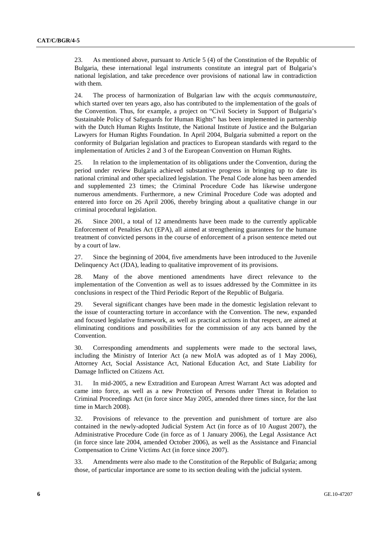23. As mentioned above, pursuant to Article 5 (4) of the Constitution of the Republic of Bulgaria, these international legal instruments constitute an integral part of Bulgaria's national legislation, and take precedence over provisions of national law in contradiction with them.

24. The process of harmonization of Bulgarian law with the *acquis communautaire*, which started over ten years ago, also has contributed to the implementation of the goals of the Convention. Thus, for example, a project on "Civil Society in Support of Bulgaria's Sustainable Policy of Safeguards for Human Rights" has been implemented in partnership with the Dutch Human Rights Institute, the National Institute of Justice and the Bulgarian Lawyers for Human Rights Foundation. In April 2004, Bulgaria submitted a report on the conformity of Bulgarian legislation and practices to European standards with regard to the implementation of Articles 2 and 3 of the European Convention on Human Rights.

25. In relation to the implementation of its obligations under the Convention, during the period under review Bulgaria achieved substantive progress in bringing up to date its national criminal and other specialized legislation. The Penal Code alone has been amended and supplemented 23 times; the Criminal Procedure Code has likewise undergone numerous amendments. Furthermore, a new Criminal Procedure Code was adopted and entered into force on 26 April 2006, thereby bringing about a qualitative change in our criminal procedural legislation.

26. Since 2001, a total of 12 amendments have been made to the currently applicable Enforcement of Penalties Act (EPA), all aimed at strengthening guarantees for the humane treatment of convicted persons in the course of enforcement of a prison sentence meted out by a court of law.

27. Since the beginning of 2004, five amendments have been introduced to the Juvenile Delinquency Act (JDA), leading to qualitative improvement of its provisions.

28. Many of the above mentioned amendments have direct relevance to the implementation of the Convention as well as to issues addressed by the Committee in its conclusions in respect of the Third Periodic Report of the Republic of Bulgaria.

29. Several significant changes have been made in the domestic legislation relevant to the issue of counteracting torture in accordance with the Convention. The new, expanded and focused legislative framework, as well as practical actions in that respect, are aimed at eliminating conditions and possibilities for the commission of any acts banned by the Convention.

30. Corresponding amendments and supplements were made to the sectoral laws, including the Ministry of Interior Act (a new MoIA was adopted as of 1 May 2006), Attorney Act, Social Assistance Act, National Education Act, and State Liability for Damage Inflicted on Citizens Act.

31. In mid-2005, a new Extradition and European Arrest Warrant Act was adopted and came into force, as well as a new Protection of Persons under Threat in Relation to Criminal Proceedings Act (in force since May 2005, amended three times since, for the last time in March 2008).

32. Provisions of relevance to the prevention and punishment of torture are also contained in the newly-adopted Judicial System Act (in force as of 10 August 2007), the Administrative Procedure Code (in force as of 1 January 2006), the Legal Assistance Act (in force since late 2004, amended October 2006), as well as the Assistance and Financial Compensation to Crime Victims Act (in force since 2007).

33. Amendments were also made to the Constitution of the Republic of Bulgaria; among those, of particular importance are some to its section dealing with the judicial system.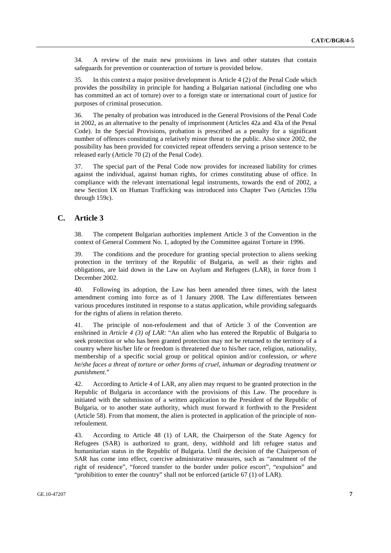34. A review of the main new provisions in laws and other statutes that contain safeguards for prevention or counteraction of torture is provided below.

35. In this context a major positive development is Article 4 (2) of the Penal Code which provides the possibility in principle for handing a Bulgarian national (including one who has committed an act of torture) over to a foreign state or international court of justice for purposes of criminal prosecution.

36. The penalty of probation was introduced in the General Provisions of the Penal Code in 2002, as an alternative to the penalty of imprisonment (Articles 42a and 43a of the Penal Code). In the Special Provisions, probation is prescribed as a penalty for a significant number of offences constituting a relatively minor threat to the public. Also since 2002, the possibility has been provided for convicted repeat offenders serving a prison sentence to be released early (Article 70 (2) of the Penal Code).

37. The special part of the Penal Code now provides for increased liability for crimes against the individual, against human rights, for crimes constituting abuse of office. In compliance with the relevant international legal instruments, towards the end of 2002, a new Section IX on Human Trafficking was introduced into Chapter Two (Articles 159a through 159c).

## **C. Article 3**

38. The competent Bulgarian authorities implement Article 3 of the Convention in the context of General Comment No. 1, adopted by the Committee against Torture in 1996.

39. The conditions and the procedure for granting special protection to aliens seeking protection in the territory of the Republic of Bulgaria, as well as their rights and obligations, are laid down in the Law on Asylum and Refugees (LAR), in force from 1 December 2002.

40. Following its adoption, the Law has been amended three times, with the latest amendment coming into force as of 1 January 2008. The Law differentiates between various procedures instituted in response to a status application, while providing safeguards for the rights of aliens in relation thereto.

41. The principle of non-refoulement and that of Article 3 of the Convention are enshrined in *Article 4 (3) of LAR*: "An alien who has entered the Republic of Bulgaria to seek protection or who has been granted protection may not be returned to the territory of a country where his/her life or freedom is threatened due to his/her race, religion, nationality, membership of a specific social group or political opinion and/or confession, *or where he/she faces a threat of torture or other forms of cruel, inhuman or degrading treatment or punishment*."

42. According to Article 4 of LAR, any alien may request to be granted protection in the Republic of Bulgaria in accordance with the provisions of this Law. The procedure is initiated with the submission of a written application to the President of the Republic of Bulgaria, or to another state authority, which must forward it forthwith to the President (Article 58). From that moment, the alien is protected in application of the principle of nonrefoulement.

43. According to Article 48 (1) of LAR, the Chairperson of the State Agency for Refugees (SAR) is authorized to grant, deny, withhold and lift refugee status and humanitarian status in the Republic of Bulgaria. Until the decision of the Chairperson of SAR has come into effect, coercive administrative measures, such as "annulment of the right of residence", "forced transfer to the border under police escort", "expulsion" and "prohibition to enter the country" shall not be enforced (article 67 (1) of LAR).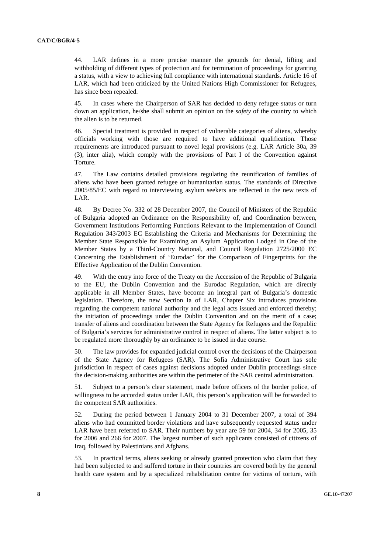44. LAR defines in a more precise manner the grounds for denial, lifting and withholding of different types of protection and for termination of proceedings for granting a status, with a view to achieving full compliance with international standards. Article 16 of LAR, which had been criticized by the United Nations High Commissioner for Refugees, has since been repealed.

45. In cases where the Chairperson of SAR has decided to deny refugee status or turn down an application, he/she shall submit an opinion on the *safety* of the country to which the alien is to be returned.

46. Special treatment is provided in respect of vulnerable categories of aliens, whereby officials working with those are required to have additional qualification. Those requirements are introduced pursuant to novel legal provisions (e.g. LAR Article 30a, 39 (3), inter alia), which comply with the provisions of Part I of the Convention against Torture.

47. The Law contains detailed provisions regulating the reunification of families of aliens who have been granted refugee or humanitarian status. The standards of Directive 2005/85/ЕC with regard to interviewing asylum seekers are reflected in the new texts of LAR.

48. By Decree No. 332 of 28 December 2007, the Council of Ministers of the Republic of Bulgaria adopted an Ordinance on the Responsibility of, and Coordination between, Government Institutions Performing Functions Relevant to the Implementation of Council Regulation 343/2003 EC Establishing the Criteria and Mechanisms for Determining the Member State Responsible for Examining an Asylum Application Lodged in One of the Member States by a Third-Country National, and Council Regulation 2725/2000 EC Concerning the Establishment of 'Eurodac' for the Comparison of Fingerprints for the Effective Application of the Dublin Convention.

49. With the entry into force of the Treaty on the Accession of the Republic of Bulgaria to the EU, the Dublin Convention and the Eurodac Regulation, which are directly applicable in all Member States, have become an integral part of Bulgaria's domestic legislation. Therefore, the new Section Ia of LAR, Chapter Six introduces provisions regarding the competent national authority and the legal acts issued and enforced thereby; the initiation of proceedings under the Dublin Convention and on the merit of a case; transfer of aliens and coordination between the State Agency for Refugees and the Republic of Bulgaria's services for administrative control in respect of aliens. The latter subject is to be regulated more thoroughly by an ordinance to be issued in due course.

50. The law provides for expanded judicial control over the decisions of the Chairperson of the State Agency for Refugees (SAR). The Sofia Administrative Court has sole jurisdiction in respect of cases against decisions adopted under Dublin proceedings since the decision-making authorities are within the perimeter of the SAR central administration.

51. Subject to a person's clear statement, made before officers of the border police, of willingness to be accorded status under LAR, this person's application will be forwarded to the competent SAR authorities.

52. During the period between 1 January 2004 to 31 December 2007, a total of 394 aliens who had committed border violations and have subsequently requested status under LAR have been referred to SAR. Their numbers by year are 59 for 2004, 34 for 2005, 35 for 2006 and 266 for 2007. The largest number of such applicants consisted of citizens of Iraq, followed by Palestinians and Afghans.

53. In practical terms, aliens seeking or already granted protection who claim that they had been subjected to and suffered torture in their countries are covered both by the general health care system and by a specialized rehabilitation centre for victims of torture, with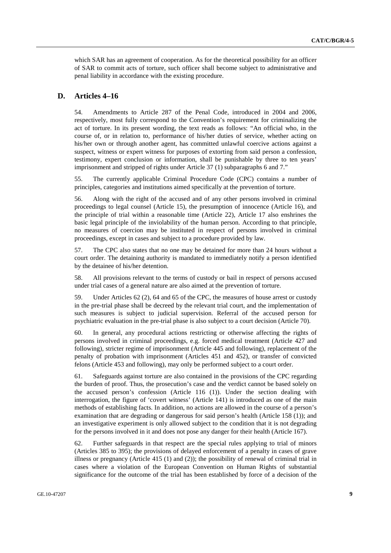which SAR has an agreement of cooperation. As for the theoretical possibility for an officer of SAR to commit acts of torture, such officer shall become subject to administrative and penal liability in accordance with the existing procedure.

### **D. Articles 4–16**

54. Amendments to Article 287 of the Penal Code, introduced in 2004 and 2006, respectively, most fully correspond to the Convention's requirement for criminalizing the act of torture. In its present wording, the text reads as follows: "An official who, in the course of, or in relation to, performance of his/her duties of service, whether acting on his/her own or through another agent, has committed unlawful coercive actions against a suspect, witness or expert witness for purposes of extorting from said person a confession, testimony, expert conclusion or information, shall be punishable by three to ten years' imprisonment and stripped of rights under Article 37 (1) subparagraphs 6 and 7."

55. The currently applicable Criminal Procedure Code (CPC) contains a number of principles, categories and institutions aimed specifically at the prevention of torture.

56. Along with the right of the accused and of any other persons involved in criminal proceedings to legal counsel (Article 15), the presumption of innocence (Article 16), and the principle of trial within a reasonable time (Article 22), Article 17 also enshrines the basic legal principle of the inviolability of the human person. According to that principle, no measures of coercion may be instituted in respect of persons involved in criminal proceedings, except in cases and subject to a procedure provided by law.

57. The CPC also states that no one may be detained for more than 24 hours without a court order. The detaining authority is mandated to immediately notify a person identified by the detainee of his/her detention.

58. All provisions relevant to the terms of custody or bail in respect of persons accused under trial cases of a general nature are also aimed at the prevention of torture.

59. Under Articles 62 (2), 64 and 65 of the CPC, the measures of house arrest or custody in the pre-trial phase shall be decreed by the relevant trial court, and the implementation of such measures is subject to judicial supervision. Referral of the accused person for psychiatric evaluation in the pre-trial phase is also subject to a court decision (Article 70).

60. In general, any procedural actions restricting or otherwise affecting the rights of persons involved in criminal proceedings, e.g. forced medical treatment (Article 427 and following), stricter regime of imprisonment (Article 445 and following), replacement of the penalty of probation with imprisonment (Articles 451 and 452), or transfer of convicted felons (Article 453 and following), may only be performed subject to a court order.

61. Safeguards against torture are also contained in the provisions of the CPC regarding the burden of proof. Thus, the prosecution's case and the verdict cannot be based solely on the accused person's confession (Article 116 (1)). Under the section dealing with interrogation, the figure of 'covert witness' (Article 141) is introduced as one of the main methods of establishing facts. In addition, no actions are allowed in the course of a person's examination that are degrading or dangerous for said person's health (Article 158 (1)); and an investigative experiment is only allowed subject to the condition that it is not degrading for the persons involved in it and does not pose any danger for their health (Article 167).

62. Further safeguards in that respect are the special rules applying to trial of minors (Articles 385 to 395); the provisions of delayed enforcement of a penalty in cases of grave illness or pregnancy (Article 415 (1) and (2)); the possibility of renewal of criminal trial in cases where a violation of the European Convention on Human Rights of substantial significance for the outcome of the trial has been established by force of a decision of the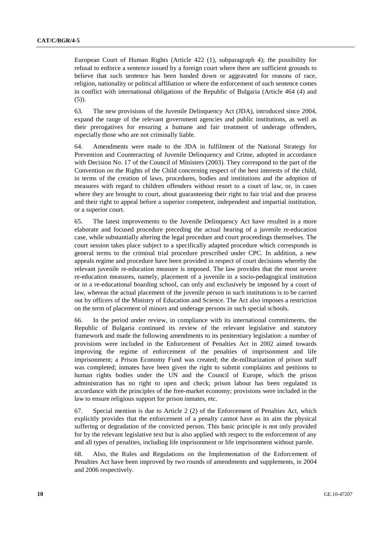European Court of Human Rights (Article 422 (1), subparagraph 4); the possibility for refusal to enforce a sentence issued by a foreign court where there are sufficient grounds to believe that such sentence has been handed down or aggravated for reasons of race, religion, nationality or political affiliation or where the enforcement of such sentence comes in conflict with international obligations of the Republic of Bulgaria (Article 464 (4) and (5)).

63. The new provisions of the Juvenile Delinquency Act (JDA), introduced since 2004, expand the range of the relevant government agencies and public institutions, as well as their prerogatives for ensuring a humane and fair treatment of underage offenders, especially those who are not criminally liable.

64. Amendments were made to the JDA in fulfilment of the National Strategy for Prevention and Counteracting of Juvenile Delinquency and Crime, adopted in accordance with Decision No. 17 of the Council of Ministers (2003). They correspond to the part of the Convention on the Rights of the Child concerning respect of the best interests of the child, in terms of the creation of laws, procedures, bodies and institutions and the adoption of measures with regard to children offenders without resort to a court of law, or, in cases where they are brought to court, about guaranteeing their right to fair trial and due process and their right to appeal before a superior competent, independent and impartial institution, or a superior court.

65. The latest improvements to the Juvenile Delinquency Act have resulted in a more elaborate and focused procedure preceding the actual hearing of a juvenile re-education case, while substantially altering the legal procedure and court proceedings themselves. The court session takes place subject to a specifically adapted procedure which corresponds in general terms to the criminal trial procedure prescribed under CPC. In addition, a new appeals regime and procedure have been provided in respect of court decisions whereby the relevant juvenile re-education measure is imposed. The law provides that the most severe re-education measures, namely, placement of a juvenile in a socio-pedagogical institution or in a re-educational boarding school, can only and exclusively be imposed by a court of law, whereas the actual placement of the juvenile person in such institutions is to be carried out by officers of the Ministry of Education and Science. The Act also imposes a restriction on the term of placement of minors and underage persons in such special schools.

66. In the period under review, in compliance with its international commitments, the Republic of Bulgaria continued its review of the relevant legislative and statutory framework and made the following amendments to its penitentiary legislation: a number of provisions were included in the Enforcement of Penalties Act in 2002 aimed towards improving the regime of enforcement of the penalties of imprisonment and life imprisonment; a Prison Economy Fund was created; the de-militarization of prison staff was completed; inmates have been given the right to submit complaints and petitions to human rights bodies under the UN and the Council of Europe, which the prison administration has no right to open and check; prison labour has been regulated in accordance with the principles of the free-market economy; provisions were included in the law to ensure religious support for prison inmates, etc.

67. Special mention is due to Article 2 (2) of the Enforcement of Penalties Act, which explicitly provides that the enforcement of a penalty cannot have as its aim the physical suffering or degradation of the convicted person. This basic principle is not only provided for by the relevant legislative text but is also applied with respect to the enforcement of any and all types of penalties, including life imprisonment or life imprisonment without parole.

68. Also, the Rules and Regulations on the Implementation of the Enforcement of Penalties Act have been improved by two rounds of amendments and supplements, in 2004 and 2006 respectively.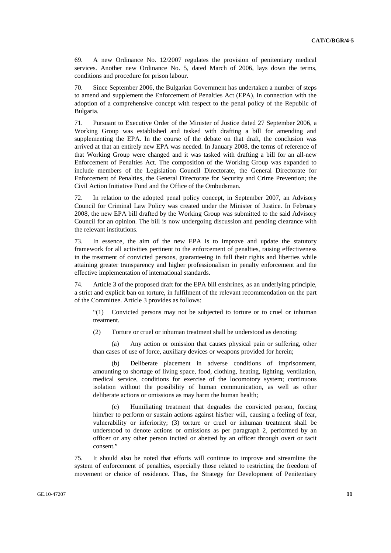69. A new Ordinance No. 12/2007 regulates the provision of penitentiary medical services. Another new Ordinance No. 5, dated March of 2006, lays down the terms, conditions and procedure for prison labour.

70. Since September 2006, the Bulgarian Government has undertaken a number of steps to amend and supplement the Enforcement of Penalties Act (EPA), in connection with the adoption of a comprehensive concept with respect to the penal policy of the Republic of Bulgaria.

71. Pursuant to Executive Order of the Minister of Justice dated 27 September 2006, a Working Group was established and tasked with drafting a bill for amending and supplementing the EPA. In the course of the debate on that draft, the conclusion was arrived at that an entirely new EPA was needed. In January 2008, the terms of reference of that Working Group were changed and it was tasked with drafting a bill for an all-new Enforcement of Penalties Act. The composition of the Working Group was expanded to include members of the Legislation Council Directorate, the General Directorate for Enforcement of Penalties, the General Directorate for Security and Crime Prevention; the Civil Action Initiative Fund and the Office of the Ombudsman.

72. In relation to the adopted penal policy concept, in September 2007, an Advisory Council for Criminal Law Policy was created under the Minister of Justice. In February 2008, the new EPA bill drafted by the Working Group was submitted to the said Advisory Council for an opinion. The bill is now undergoing discussion and pending clearance with the relevant institutions.

73. In essence, the aim of the new EPA is to improve and update the statutory framework for all activities pertinent to the enforcement of penalties, raising effectiveness in the treatment of convicted persons, guaranteeing in full their rights and liberties while attaining greater transparency and higher professionalism in penalty enforcement and the effective implementation of international standards.

74. Article 3 of the proposed draft for the EPA bill enshrines, as an underlying principle, a strict and explicit ban on torture, in fulfilment of the relevant recommendation on the part of the Committee. Article 3 provides as follows:

"(1) Convicted persons may not be subjected to torture or to cruel or inhuman treatment.

(2) Torture or cruel or inhuman treatment shall be understood as denoting:

 (a) Any action or omission that causes physical pain or suffering, other than cases of use of force, auxiliary devices or weapons provided for herein;

 (b) Deliberate placement in adverse conditions of imprisonment, amounting to shortage of living space, food, clothing, heating, lighting, ventilation, medical service, conditions for exercise of the locomotory system; continuous isolation without the possibility of human communication, as well as other deliberate actions or omissions as may harm the human health;

Humiliating treatment that degrades the convicted person, forcing him/her to perform or sustain actions against his/her will, causing a feeling of fear, vulnerability or inferiority; (3) torture or cruel or inhuman treatment shall be understood to denote actions or omissions as per paragraph 2, performed by an officer or any other person incited or abetted by an officer through overt or tacit consent."

75. It should also be noted that efforts will continue to improve and streamline the system of enforcement of penalties, especially those related to restricting the freedom of movement or choice of residence. Thus, the Strategy for Development of Penitentiary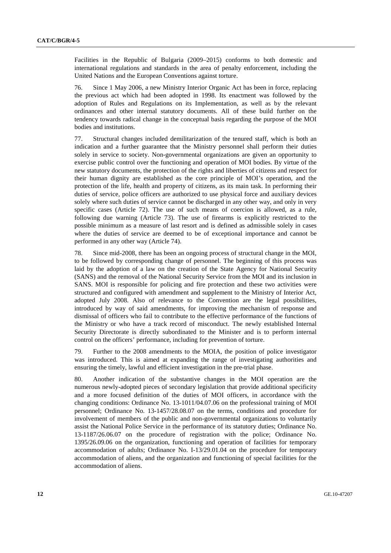Facilities in the Republic of Bulgaria (2009–2015) conforms to both domestic and international regulations and standards in the area of penalty enforcement, including the United Nations and the European Conventions against torture.

76. Since 1 May 2006, a new Ministry Interior Organic Act has been in force, replacing the previous act which had been adopted in 1998. Its enactment was followed by the adoption of Rules and Regulations on its Implementation, as well as by the relevant ordinances and other internal statutory documents. All of these build further on the tendency towards radical change in the conceptual basis regarding the purpose of the MOI bodies and institutions.

77. Structural changes included demilitarization of the tenured staff, which is both an indication and a further guarantee that the Ministry personnel shall perform their duties solely in service to society. Non-governmental organizations are given an opportunity to exercise public control over the functioning and operation of MOI bodies. By virtue of the new statutory documents, the protection of the rights and liberties of citizens and respect for their human dignity are established as the core principle of MOI's operation, and the protection of the life, health and property of citizens, as its main task. In performing their duties of service, police officers are authorized to use physical force and auxiliary devices solely where such duties of service cannot be discharged in any other way, and only in very specific cases (Article 72). The use of such means of coercion is allowed, as a rule, following due warning (Article 73). The use of firearms is explicitly restricted to the possible minimum as a measure of last resort and is defined as admissible solely in cases where the duties of service are deemed to be of exceptional importance and cannot be performed in any other way (Article 74).

78. Since mid-2008, there has been an ongoing process of structural change in the MOI, to be followed by corresponding change of personnel. The beginning of this process was laid by the adoption of a law on the creation of the State Agency for National Security (SANS) and the removal of the National Security Service from the MOI and its inclusion in SANS. MOI is responsible for policing and fire protection and these two activities were structured and configured with amendment and supplement to the Ministry of Interior Act, adopted July 2008. Also of relevance to the Convention are the legal possibilities, introduced by way of said amendments, for improving the mechanism of response and dismissal of officers who fail to contribute to the effective performance of the functions of the Ministry or who have a track record of misconduct. The newly established Internal Security Directorate is directly subordinated to the Minister and is to perform internal control on the officers' performance, including for prevention of torture.

79. Further to the 2008 amendments to the MOIA, the position of police investigator was introduced. This is aimed at expanding the range of investigating authorities and ensuring the timely, lawful and efficient investigation in the pre-trial phase.

80. Another indication of the substantive changes in the MOI operation are the numerous newly-adopted pieces of secondary legislation that provide additional specificity and a more focused definition of the duties of MOI officers, in accordance with the changing conditions: Ordinance No. 13-1011/04.07.06 on the professional training of MOI personnel; Ordinance No. 13-1457/28.08.07 on the terms, conditions and procedure for involvement of members of the public and non-governmental organizations to voluntarily assist the National Police Service in the performance of its statutory duties; Ordinance No. 13-1187/26.06.07 on the procedure of registration with the police; Ordinance No. 1395/26.09.06 on the organization, functioning and operation of facilities for temporary accommodation of adults; Ordinance No. І-13/29.01.04 on the procedure for temporary accommodation of aliens, and the organization and functioning of special facilities for the accommodation of aliens.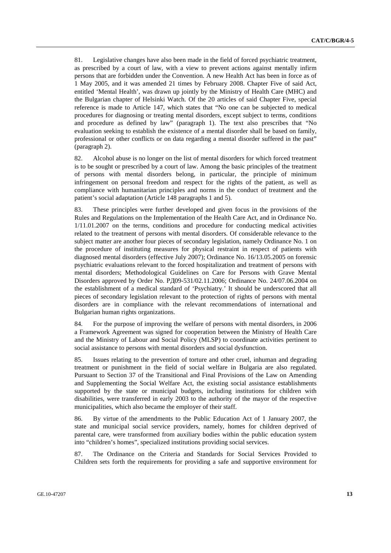81. Legislative changes have also been made in the field of forced psychiatric treatment, as prescribed by a court of law, with a view to prevent actions against mentally infirm persons that are forbidden under the Convention. A new Health Act has been in force as of 1 May 2005, and it was amended 21 times by February 2008. Chapter Five of said Act, entitled 'Mental Health', was drawn up jointly by the Ministry of Health Care (MHC) and the Bulgarian chapter of Helsinki Watch. Of the 20 articles of said Chapter Five, special reference is made to Article 147, which states that "No one can be subjected to medical procedures for diagnosing or treating mental disorders, except subject to terms, conditions and procedure as defined by law" (paragraph 1). The text also prescribes that "No evaluation seeking to establish the existence of a mental disorder shall be based on family, professional or other conflicts or on data regarding a mental disorder suffered in the past" (paragraph 2).

82. Alcohol abuse is no longer on the list of mental disorders for which forced treatment is to be sought or prescribed by a court of law. Among the basic principles of the treatment of persons with mental disorders belong, in particular, the principle of minimum infringement on personal freedom and respect for the rights of the patient, as well as compliance with humanitarian principles and norms in the conduct of treatment and the patient's social adaptation (Article 148 paragraphs 1 and 5).

83. These principles were further developed and given focus in the provisions of the Rules and Regulations on the Implementation of the Health Care Act, and in Ordinance No. 1/11.01.2007 on the terms, conditions and procedure for conducting medical activities related to the treatment of persons with mental disorders. Of considerable relevance to the subject matter are another four pieces of secondary legislation, namely Ordinance No. 1 on the procedure of instituting measures for physical restraint in respect of patients with diagnosed mental disorders (effective July 2007); Ordinance No. 16/13.05.2005 on forensic psychiatric evaluations relevant to the forced hospitalization and treatment of persons with mental disorders; Methodological Guidelines on Care for Persons with Grave Mental Disorders approved by Order No. РД09-531/02.11.2006; Ordinance No. 24/07.06.2004 on the establishment of a medical standard of 'Psychiatry.' It should be underscored that all pieces of secondary legislation relevant to the protection of rights of persons with mental disorders are in compliance with the relevant recommendations of international and Bulgarian human rights organizations.

84. For the purpose of improving the welfare of persons with mental disorders, in 2006 a Framework Agreement was signed for cooperation between the Ministry of Health Care and the Ministry of Labour and Social Policy (MLSP) to coordinate activities pertinent to social assistance to persons with mental disorders and social dysfunction.

85. Issues relating to the prevention of torture and other cruel, inhuman and degrading treatment or punishment in the field of social welfare in Bulgaria are also regulated. Pursuant to Section 37 of the Transitional and Final Provisions of the Law on Amending and Supplementing the Social Welfare Act, the existing social assistance establishments supported by the state or municipal budgets, including institutions for children with disabilities, were transferred in early 2003 to the authority of the mayor of the respective municipalities, which also became the employer of their staff.

86. By virtue of the amendments to the Public Education Act of 1 January 2007, the state and municipal social service providers, namely, homes for children deprived of parental care, were transformed from auxiliary bodies within the public education system into "children's homes", specialized institutions providing social services.

87. The Ordinance on the Criteria and Standards for Social Services Provided to Children sets forth the requirements for providing a safe and supportive environment for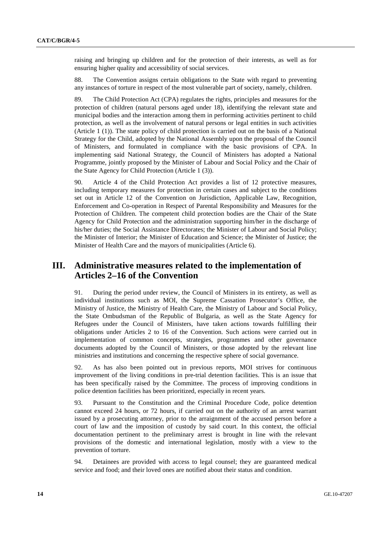raising and bringing up children and for the protection of their interests, as well as for ensuring higher quality and accessibility of social services.

88. The Convention assigns certain obligations to the State with regard to preventing any instances of torture in respect of the most vulnerable part of society, namely, children.

89. The Child Protection Act (CPA) regulates the rights, principles and measures for the protection of children (natural persons aged under 18), identifying the relevant state and municipal bodies and the interaction among them in performing activities pertinent to child protection, as well as the involvement of natural persons or legal entities in such activities (Article 1 (1)). The state policy of child protection is carried out on the basis of a National Strategy for the Child, adopted by the National Assembly upon the proposal of the Council of Ministers, and formulated in compliance with the basic provisions of CPA. In implementing said National Strategy, the Council of Ministers has adopted a National Programme, jointly proposed by the Minister of Labour and Social Policy and the Chair of the State Agency for Child Protection (Article 1 (3)).

90. Article 4 of the Child Protection Act provides a list of 12 protective measures, including temporary measures for protection in certain cases and subject to the conditions set out in Article 12 of the Convention on Jurisdiction, Applicable Law, Recognition, Enforcement and Co-operation in Respect of Parental Responsibility and Measures for the Protection of Children. The competent child protection bodies are the Chair of the State Agency for Child Protection and the administration supporting him/her in the discharge of his/her duties; the Social Assistance Directorates; the Minister of Labour and Social Policy; the Minister of Interior; the Minister of Education and Science; the Minister of Justice; the Minister of Health Care and the mayors of municipalities (Article 6).

## **III. Administrative measures related to the implementation of Articles 2–16 of the Convention**

91. During the period under review, the Council of Ministers in its entirety, as well as individual institutions such as MOI, the Supreme Cassation Prosecutor's Office, the Ministry of Justice, the Ministry of Health Care, the Ministry of Labour and Social Policy, the State Ombudsman of the Republic of Bulgaria, as well as the State Agency for Refugees under the Council of Ministers, have taken actions towards fulfilling their obligations under Articles 2 to 16 of the Convention. Such actions were carried out in implementation of common concepts, strategies, programmes and other governance documents adopted by the Council of Ministers, or those adopted by the relevant line ministries and institutions and concerning the respective sphere of social governance.

92. As has also been pointed out in previous reports, MOI strives for continuous improvement of the living conditions in pre-trial detention facilities. This is an issue that has been specifically raised by the Committee. The process of improving conditions in police detention facilities has been prioritized, especially in recent years.

93. Pursuant to the Constitution and the Criminal Procedure Code, police detention cannot exceed 24 hours, or 72 hours, if carried out on the authority of an arrest warrant issued by a prosecuting attorney, prior to the arraignment of the accused person before a court of law and the imposition of custody by said court. In this context, the official documentation pertinent to the preliminary arrest is brought in line with the relevant provisions of the domestic and international legislation, mostly with a view to the prevention of torture.

94. Detainees are provided with access to legal counsel; they are guaranteed medical service and food; and their loved ones are notified about their status and condition.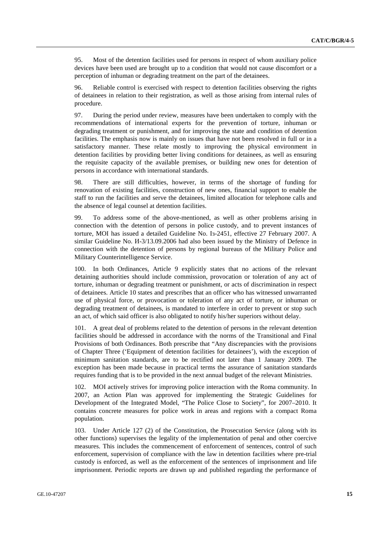95. Most of the detention facilities used for persons in respect of whom auxiliary police devices have been used are brought up to a condition that would not cause discomfort or a perception of inhuman or degrading treatment on the part of the detainees.

96. Reliable control is exercised with respect to detention facilities observing the rights of detainees in relation to their registration, as well as those arising from internal rules of procedure.

97. During the period under review, measures have been undertaken to comply with the recommendations of international experts for the prevention of torture, inhuman or degrading treatment or punishment, and for improving the state and condition of detention facilities. The emphasis now is mainly on issues that have not been resolved in full or in a satisfactory manner. These relate mostly to improving the physical environment in detention facilities by providing better living conditions for detainees, as well as ensuring the requisite capacity of the available premises, or building new ones for detention of persons in accordance with international standards.

98. There are still difficulties, however, in terms of the shortage of funding for renovation of existing facilities, construction of new ones, financial support to enable the staff to run the facilities and serve the detainees, limited allocation for telephone calls and the absence of legal counsel at detention facilities.

99. To address some of the above-mentioned, as well as other problems arising in connection with the detention of persons in police custody, and to prevent instances of torture, MOI has issued a detailed Guideline No. Із-2451, effective 27 February 2007. A similar Guideline No. И-3/13.09.2006 had also been issued by the Ministry of Defence in connection with the detention of persons by regional bureaus of the Military Police and Military Counterintelligence Service.

100. In both Ordinances, Article 9 explicitly states that no actions of the relevant detaining authorities should include commission, provocation or toleration of any act of torture, inhuman or degrading treatment or punishment, or acts of discrimination in respect of detainees. Article 10 states and prescribes that an officer who has witnessed unwarranted use of physical force, or provocation or toleration of any act of torture, or inhuman or degrading treatment of detainees, is mandated to interfere in order to prevent or stop such an act, of which said officer is also obligated to notify his/her superiors without delay.

101. A great deal of problems related to the detention of persons in the relevant detention facilities should be addressed in accordance with the norms of the Transitional and Final Provisions of both Ordinances. Both prescribe that "Any discrepancies with the provisions of Chapter Three ('Equipment of detention facilities for detainees'), with the exception of minimum sanitation standards, are to be rectified not later than 1 January 2009. The exception has been made because in practical terms the assurance of sanitation standards requires funding that is to be provided in the next annual budget of the relevant Ministries.

102. MOI actively strives for improving police interaction with the Roma community. In 2007, an Action Plan was approved for implementing the Strategic Guidelines for Development of the Integrated Model, "The Police Close to Society", for 2007–2010. It contains concrete measures for police work in areas and regions with a compact Roma population.

103. Under Article 127 (2) of the Constitution, the Prosecution Service (along with its other functions) supervises the legality of the implementation of penal and other coercive measures. This includes the commencement of enforcement of sentences, control of such enforcement, supervision of compliance with the law in detention facilities where pre-trial custody is enforced, as well as the enforcement of the sentences of imprisonment and life imprisonment. Periodic reports are drawn up and published regarding the performance of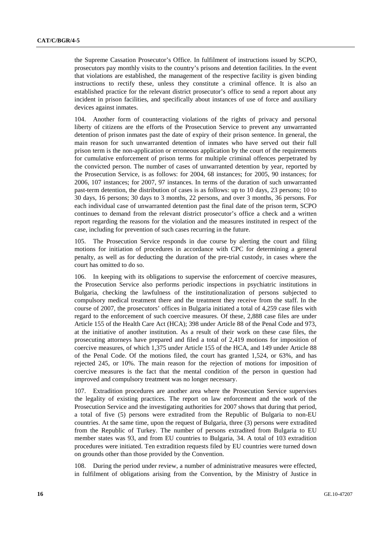the Supreme Cassation Prosecutor's Office. In fulfilment of instructions issued by SCPO, prosecutors pay monthly visits to the country's prisons and detention facilities. In the event that violations are established, the management of the respective facility is given binding instructions to rectify these, unless they constitute a criminal offence. It is also an established practice for the relevant district prosecutor's office to send a report about any incident in prison facilities, and specifically about instances of use of force and auxiliary devices against inmates.

104. Another form of counteracting violations of the rights of privacy and personal liberty of citizens are the efforts of the Prosecution Service to prevent any unwarranted detention of prison inmates past the date of expiry of their prison sentence. In general, the main reason for such unwarranted detention of inmates who have served out their full prison term is the non-application or erroneous application by the court of the requirements for cumulative enforcement of prison terms for multiple criminal offences perpetrated by the convicted person. The number of cases of unwarranted detention by year, reported by the Prosecution Service, is as follows: for 2004, 68 instances; for 2005, 90 instances; for 2006, 107 instances; for 2007, 97 instances. In terms of the duration of such unwarranted past-term detention, the distribution of cases is as follows: up to 10 days, 23 persons; 10 to 30 days, 16 persons; 30 days to 3 months, 22 persons, and over 3 months, 36 persons. For each individual case of unwarranted detention past the final date of the prison term, SCPO continues to demand from the relevant district prosecutor's office a check and a written report regarding the reasons for the violation and the measures instituted in respect of the case, including for prevention of such cases recurring in the future.

105. The Prosecution Service responds in due course by alerting the court and filing motions for initiation of procedures in accordance with CPC for determining a general penalty, as well as for deducting the duration of the pre-trial custody, in cases where the court has omitted to do so.

106. In keeping with its obligations to supervise the enforcement of coercive measures, the Prosecution Service also performs periodic inspections in psychiatric institutions in Bulgaria, checking the lawfulness of the institutionalization of persons subjected to compulsory medical treatment there and the treatment they receive from the staff. In the course of 2007, the prosecutors' offices in Bulgaria initiated a total of 4,259 case files with regard to the enforcement of such coercive measures. Of these, 2,888 case files are under Article 155 of the Health Care Act (HCA); 398 under Article 88 of the Penal Code and 973, at the initiative of another institution. As a result of their work on these case files, the prosecuting attorneys have prepared and filed a total of 2,419 motions for imposition of coercive measures, of which 1,375 under Article 155 of the HCA, and 149 under Article 88 of the Penal Code. Of the motions filed, the court has granted 1,524, or 63%, and has rejected 245, or 10%. The main reason for the rejection of motions for imposition of coercive measures is the fact that the mental condition of the person in question had improved and compulsory treatment was no longer necessary.

107. Extradition procedures are another area where the Prosecution Service supervises the legality of existing practices. The report on law enforcement and the work of the Prosecution Service and the investigating authorities for 2007 shows that during that period, a total of five (5) persons were extradited from the Republic of Bulgaria to non-EU countries. At the same time, upon the request of Bulgaria, three (3) persons were extradited from the Republic of Turkey. The number of persons extradited from Bulgaria to EU member states was 93, and from EU countries to Bulgaria, 34. A total of 103 extradition procedures were initiated. Ten extradition requests filed by EU countries were turned down on grounds other than those provided by the Convention.

108. During the period under review, a number of administrative measures were effected, in fulfilment of obligations arising from the Convention, by the Ministry of Justice in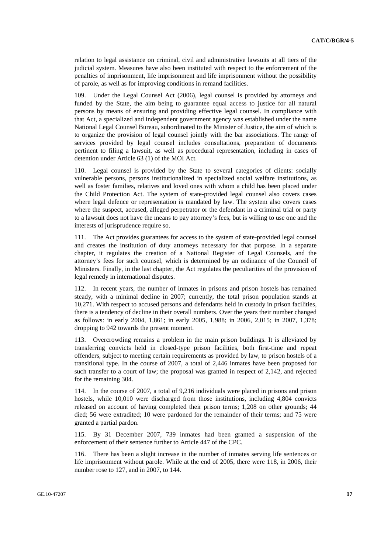relation to legal assistance on criminal, civil and administrative lawsuits at all tiers of the judicial system. Measures have also been instituted with respect to the enforcement of the penalties of imprisonment, life imprisonment and life imprisonment without the possibility of parole, as well as for improving conditions in remand facilities.

Under the Legal Counsel Act (2006), legal counsel is provided by attorneys and funded by the State, the aim being to guarantee equal access to justice for all natural persons by means of ensuring and providing effective legal counsel. In compliance with that Act, a specialized and independent government agency was established under the name National Legal Counsel Bureau, subordinated to the Minister of Justice, the aim of which is to organize the provision of legal counsel jointly with the bar associations. The range of services provided by legal counsel includes consultations, preparation of documents pertinent to filing a lawsuit, as well as procedural representation, including in cases of detention under Article 63 (1) of the MOI Act.

110. Legal counsel is provided by the State to several categories of clients: socially vulnerable persons, persons institutionalized in specialized social welfare institutions, as well as foster families, relatives and loved ones with whom a child has been placed under the Child Protection Act. The system of state-provided legal counsel also covers cases where legal defence or representation is mandated by law. The system also covers cases where the suspect, accused, alleged perpetrator or the defendant in a criminal trial or party to a lawsuit does not have the means to pay attorney's fees, but is willing to use one and the interests of jurisprudence require so.

111. The Act provides guarantees for access to the system of state-provided legal counsel and creates the institution of duty attorneys necessary for that purpose. In a separate chapter, it regulates the creation of a National Register of Legal Counsels, and the attorney's fees for such counsel, which is determined by an ordinance of the Council of Ministers. Finally, in the last chapter, the Act regulates the peculiarities of the provision of legal remedy in international disputes.

112. In recent years, the number of inmates in prisons and prison hostels has remained steady, with a minimal decline in 2007; currently, the total prison population stands at 10,271. With respect to accused persons and defendants held in custody in prison facilities, there is a tendency of decline in their overall numbers. Over the years their number changed as follows: in early 2004, 1,861; in early 2005, 1,988; in 2006, 2,015; in 2007, 1,378; dropping to 942 towards the present moment.

113. Overcrowding remains a problem in the main prison buildings. It is alleviated by transferring convicts held in closed-type prison facilities, both first-time and repeat offenders, subject to meeting certain requirements as provided by law, to prison hostels of a transitional type. In the course of 2007, a total of 2,446 inmates have been proposed for such transfer to a court of law; the proposal was granted in respect of 2,142, and rejected for the remaining 304.

114. In the course of 2007, a total of 9,216 individuals were placed in prisons and prison hostels, while 10,010 were discharged from those institutions, including 4,804 convicts released on account of having completed their prison terms; 1,208 on other grounds; 44 died; 56 were extradited; 10 were pardoned for the remainder of their terms; and 75 were granted a partial pardon.

115. By 31 December 2007, 739 inmates had been granted a suspension of the enforcement of their sentence further to Article 447 of the CPC.

116. There has been a slight increase in the number of inmates serving life sentences or life imprisonment without parole. While at the end of 2005, there were 118, in 2006, their number rose to 127, and in 2007, to 144.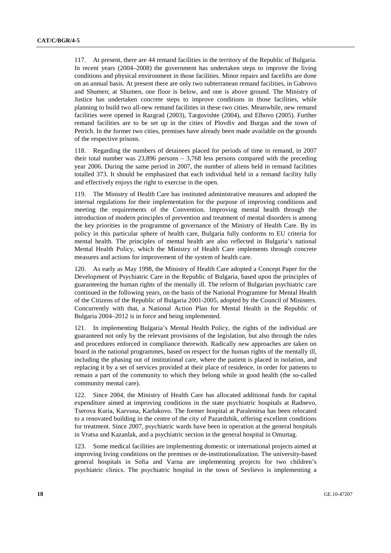117. At present, there are 44 remand facilities in the territory of the Republic of Bulgaria. In recent years (2004–2008) the government has undertaken steps to improve the living conditions and physical environment in those facilities. Minor repairs and facelifts are done on an annual basis. At present there are only two subterranean remand facilities, in Gabrovo and Shumen; at Shumen, one floor is below, and one is above ground. The Ministry of Justice has undertaken concrete steps to improve conditions in those facilities, while planning to build two all-new remand facilities in these two cities. Meanwhile, new remand facilities were opened in Razgrad (2003), Targovishte (2004), and Elhovo (2005). Further remand facilities are to be set up in the cities of Plovdiv and Burgas and the town of Petrich. In the former two cities, premises have already been made available on the grounds of the respective prisons.

118. Regarding the numbers of detainees placed for periods of time in remand, in 2007 their total number was  $23.896$  persons  $-3.768$  less persons compared with the preceding year 2006. During the same period in 2007, the number of aliens held in remand facilities totalled 373. It should be emphasized that each individual held in a remand facility fully and effectively enjoys the right to exercise in the open.

119. The Ministry of Health Care has instituted administrative measures and adopted the internal regulations for their implementation for the purpose of improving conditions and meeting the requirements of the Convention. Improving mental health through the introduction of modern principles of prevention and treatment of mental disorders is among the key priorities in the programme of governance of the Ministry of Health Care. By its policy in this particular sphere of health care, Bulgaria fully conforms to EU criteria for mental health. The principles of mental health are also reflected in Bulgaria's national Mental Health Policy, which the Ministry of Health Care implements through concrete measures and actions for improvement of the system of health care.

120. As early as May 1998, the Ministry of Health Care adopted a Concept Paper for the Development of Psychiatric Care in the Republic of Bulgaria, based upon the principles of guaranteeing the human rights of the mentally ill. The reform of Bulgarian psychiatric care continued in the following years, on the basis of the National Programme for Mental Health of the Citizens of the Republic of Bulgaria 2001-2005, adopted by the Council of Ministers. Concurrently with that, a National Action Plan for Mental Health in the Republic of Bulgaria 2004–2012 is in force and being implemented.

121. In implementing Bulgaria's Mental Health Policy, the rights of the individual are guaranteed not only by the relevant provisions of the legislation, but also through the rules and procedures enforced in compliance therewith. Radically new approaches are taken on board in the national programmes, based on respect for the human rights of the mentally ill, including the phasing out of institutional care, where the patient is placed in isolation, and replacing it by a set of services provided at their place of residence, in order for patients to remain a part of the community to which they belong while in good health (the so-called community mental care).

122. Since 2004, the Ministry of Health Care has allocated additional funds for capital expenditure aimed at improving conditions in the state psychiatric hospitals at Radnevo, Tserova Kuria, Karvuna, Karlukovo. The former hospital at Paralenitsa has been relocated to a renovated building in the centre of the city of Pazardzhik, offering excellent conditions for treatment. Since 2007, psychiatric wards have been in operation at the general hospitals in Vratsa and Kazanlak, and a psychiatric section in the general hospital in Omurtag.

123. Some medical facilities are implementing domestic or international projects aimed at improving living conditions on the premises or de-institutionalization. The university-based general hospitals in Sofia and Varna are implementing projects for two children's psychiatric clinics. The psychiatric hospital in the town of Sevlievo is implementing a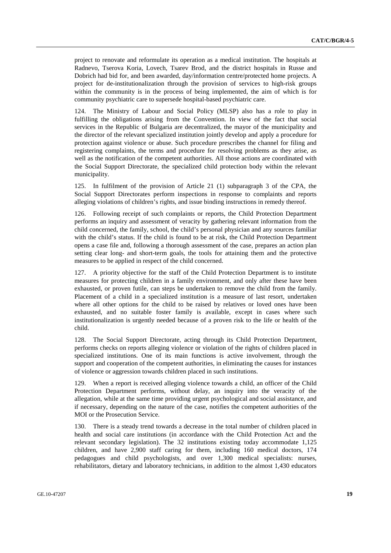project to renovate and reformulate its operation as a medical institution. The hospitals at Radnevo, Tserova Koria, Lovech, Tsarev Brod, and the district hospitals in Russe and Dobrich had bid for, and been awarded, day/information centre/protected home projects. A project for de-institutionalization through the provision of services to high-risk groups within the community is in the process of being implemented, the aim of which is for community psychiatric care to supersede hospital-based psychiatric care.

124. The Ministry of Labour and Social Policy (MLSP) also has a role to play in fulfilling the obligations arising from the Convention. In view of the fact that social services in the Republic of Bulgaria are decentralized, the mayor of the municipality and the director of the relevant specialized institution jointly develop and apply a procedure for protection against violence or abuse. Such procedure prescribes the channel for filing and registering complaints, the terms and procedure for resolving problems as they arise, as well as the notification of the competent authorities. All those actions are coordinated with the Social Support Directorate, the specialized child protection body within the relevant municipality.

125. In fulfilment of the provision of Article 21 (1) subparagraph 3 of the CPA, the Social Support Directorates perform inspections in response to complaints and reports alleging violations of children's rights, and issue binding instructions in remedy thereof.

126. Following receipt of such complaints or reports, the Child Protection Department performs an inquiry and assessment of veracity by gathering relevant information from the child concerned, the family, school, the child's personal physician and any sources familiar with the child's status. If the child is found to be at risk, the Child Protection Department opens a case file and, following a thorough assessment of the case, prepares an action plan setting clear long- and short-term goals, the tools for attaining them and the protective measures to be applied in respect of the child concerned.

127. A priority objective for the staff of the Child Protection Department is to institute measures for protecting children in a family environment, and only after these have been exhausted, or proven futile, can steps be undertaken to remove the child from the family. Placement of a child in a specialized institution is a measure of last resort, undertaken where all other options for the child to be raised by relatives or loved ones have been exhausted, and no suitable foster family is available, except in cases where such institutionalization is urgently needed because of a proven risk to the life or health of the child.

128. The Social Support Directorate, acting through its Child Protection Department, performs checks on reports alleging violence or violation of the rights of children placed in specialized institutions. One of its main functions is active involvement, through the support and cooperation of the competent authorities, in eliminating the causes for instances of violence or aggression towards children placed in such institutions.

129. When a report is received alleging violence towards a child, an officer of the Child Protection Department performs, without delay, an inquiry into the veracity of the allegation, while at the same time providing urgent psychological and social assistance, and if necessary, depending on the nature of the case, notifies the competent authorities of the MOI or the Prosecution Service.

130. There is a steady trend towards a decrease in the total number of children placed in health and social care institutions (in accordance with the Child Protection Act and the relevant secondary legislation). The 32 institutions existing today accommodate 1,125 children, and have 2,900 staff caring for them, including 160 medical doctors, 174 pedagogues and child psychologists, and over 1,300 medical specialists: nurses, rehabilitators, dietary and laboratory technicians, in addition to the almost 1,430 educators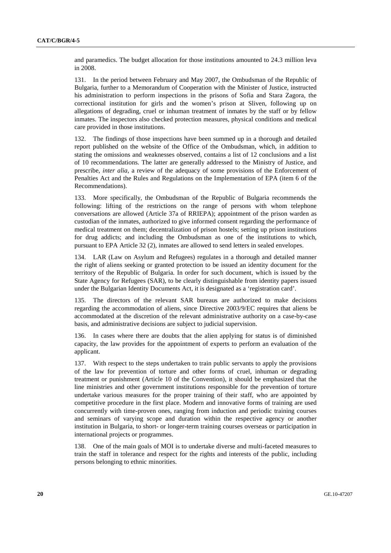and paramedics. The budget allocation for those institutions amounted to 24.3 million leva in 2008.

131. In the period between February and May 2007, the Ombudsman of the Republic of Bulgaria, further to a Memorandum of Cooperation with the Minister of Justice, instructed his administration to perform inspections in the prisons of Sofia and Stara Zagora, the correctional institution for girls and the women's prison at Sliven, following up on allegations of degrading, cruel or inhuman treatment of inmates by the staff or by fellow inmates. The inspectors also checked protection measures, physical conditions and medical care provided in those institutions.

132. The findings of those inspections have been summed up in a thorough and detailed report published on the website of the Office of the Ombudsman, which, in addition to stating the omissions and weaknesses observed, contains a list of 12 conclusions and a list of 10 recommendations. The latter are generally addressed to the Ministry of Justice, and prescribe, *inter alia*, a review of the adequacy of some provisions of the Enforcement of Penalties Act and the Rules and Regulations on the Implementation of EPA (item 6 of the Recommendations).

133. More specifically, the Ombudsman of the Republic of Bulgaria recommends the following: lifting of the restrictions on the range of persons with whom telephone conversations are allowed (Article 37a of RRIEPA); appointment of the prison warden as custodian of the inmates, authorized to give informed consent regarding the performance of medical treatment on them; decentralization of prison hostels; setting up prison institutions for drug addicts; and including the Ombudsman as one of the institutions to which, pursuant to EPA Article 32 (2), inmates are allowed to send letters in sealed envelopes.

134. LAR (Law on Asylum and Refugees) regulates in a thorough and detailed manner the right of aliens seeking or granted protection to be issued an identity document for the territory of the Republic of Bulgaria. In order for such document, which is issued by the State Agency for Refugees (SAR), to be clearly distinguishable from identity papers issued under the Bulgarian Identity Documents Act, it is designated as a 'registration card'.

135. The directors of the relevant SAR bureaus are authorized to make decisions regarding the accommodation of aliens, since Directive 2003/9/ЕC requires that aliens be accommodated at the discretion of the relevant administrative authority on a case-by-case basis, and administrative decisions are subject to judicial supervision.

136. In cases where there are doubts that the alien applying for status is of diminished capacity, the law provides for the appointment of experts to perform an evaluation of the applicant.

137. With respect to the steps undertaken to train public servants to apply the provisions of the law for prevention of torture and other forms of cruel, inhuman or degrading treatment or punishment (Article 10 of the Convention), it should be emphasized that the line ministries and other government institutions responsible for the prevention of torture undertake various measures for the proper training of their staff, who are appointed by competitive procedure in the first place. Modern and innovative forms of training are used concurrently with time-proven ones, ranging from induction and periodic training courses and seminars of varying scope and duration within the respective agency or another institution in Bulgaria, to short- or longer-term training courses overseas or participation in international projects or programmes.

138. One of the main goals of MOI is to undertake diverse and multi-faceted measures to train the staff in tolerance and respect for the rights and interests of the public, including persons belonging to ethnic minorities.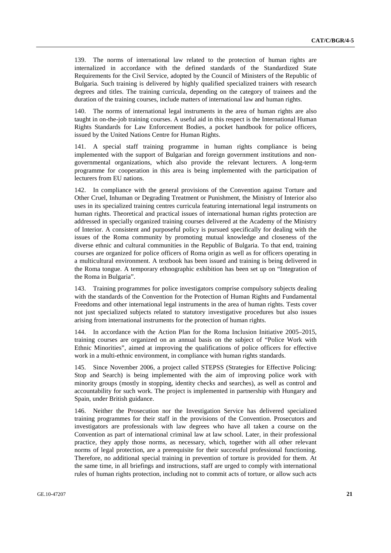139. The norms of international law related to the protection of human rights are internalized in accordance with the defined standards of the Standardized State Requirements for the Civil Service, adopted by the Council of Ministers of the Republic of Bulgaria. Such training is delivered by highly qualified specialized trainers with research degrees and titles. The training curricula, depending on the category of trainees and the duration of the training courses, include matters of international law and human rights.

140. The norms of international legal instruments in the area of human rights are also taught in on-the-job training courses. A useful aid in this respect is the International Human Rights Standards for Law Enforcement Bodies, a pocket handbook for police officers, issued by the United Nations Centre for Human Rights.

141. A special staff training programme in human rights compliance is being implemented with the support of Bulgarian and foreign government institutions and nongovernmental organizations, which also provide the relevant lecturers. A long-term programme for cooperation in this area is being implemented with the participation of lecturers from EU nations.

142. In compliance with the general provisions of the Convention against Torture and Other Cruel, Inhuman or Degrading Treatment or Punishment, the Ministry of Interior also uses in its specialized training centres curricula featuring international legal instruments on human rights. Theoretical and practical issues of international human rights protection are addressed in specially organized training courses delivered at the Academy of the Ministry of Interior. A consistent and purposeful policy is pursued specifically for dealing with the issues of the Roma community by promoting mutual knowledge and closeness of the diverse ethnic and cultural communities in the Republic of Bulgaria. To that end, training courses are organized for police officers of Roma origin as well as for officers operating in a multicultural environment. A textbook has been issued and training is being delivered in the Roma tongue. A temporary ethnographic exhibition has been set up on "Integration of the Roma in Bulgaria".

143. Training programmes for police investigators comprise compulsory subjects dealing with the standards of the Convention for the Protection of Human Rights and Fundamental Freedoms and other international legal instruments in the area of human rights. Tests cover not just specialized subjects related to statutory investigative procedures but also issues arising from international instruments for the protection of human rights.

144. In accordance with the Action Plan for the Roma Inclusion Initiative 2005–2015, training courses are organized on an annual basis on the subject of "Police Work with Ethnic Minorities", aimed at improving the qualifications of police officers for effective work in a multi-ethnic environment, in compliance with human rights standards.

145. Since November 2006, a project called STEPSS (Strategies for Effective Policing: Stop and Search) is being implemented with the aim of improving police work with minority groups (mostly in stopping, identity checks and searches), as well as control and accountability for such work. The project is implemented in partnership with Hungary and Spain, under British guidance.

146. Neither the Prosecution nor the Investigation Service has delivered specialized training programmes for their staff in the provisions of the Convention. Prosecutors and investigators are professionals with law degrees who have all taken a course on the Convention as part of international criminal law at law school. Later, in their professional practice, they apply those norms, as necessary, which, together with all other relevant norms of legal protection, are a prerequisite for their successful professional functioning. Therefore, no additional special training in prevention of torture is provided for them. At the same time, in all briefings and instructions, staff are urged to comply with international rules of human rights protection, including not to commit acts of torture, or allow such acts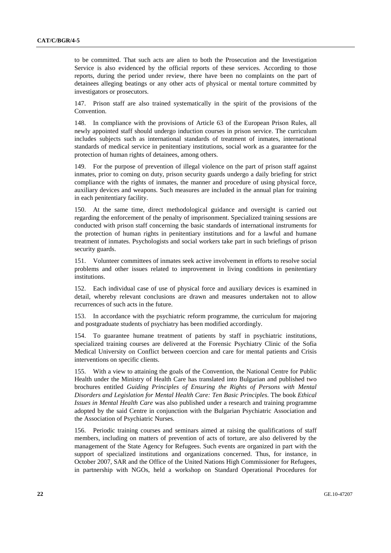to be committed. That such acts are alien to both the Prosecution and the Investigation Service is also evidenced by the official reports of these services. According to those reports, during the period under review, there have been no complaints on the part of detainees alleging beatings or any other acts of physical or mental torture committed by investigators or prosecutors.

147. Prison staff are also trained systematically in the spirit of the provisions of the Convention.

148. In compliance with the provisions of Article 63 of the European Prison Rules, all newly appointed staff should undergo induction courses in prison service. The curriculum includes subjects such as international standards of treatment of inmates, international standards of medical service in penitentiary institutions, social work as a guarantee for the protection of human rights of detainees, among others.

149. For the purpose of prevention of illegal violence on the part of prison staff against inmates, prior to coming on duty, prison security guards undergo a daily briefing for strict compliance with the rights of inmates, the manner and procedure of using physical force, auxiliary devices and weapons. Such measures are included in the annual plan for training in each penitentiary facility.

150. At the same time, direct methodological guidance and oversight is carried out regarding the enforcement of the penalty of imprisonment. Specialized training sessions are conducted with prison staff concerning the basic standards of international instruments for the protection of human rights in penitentiary institutions and for a lawful and humane treatment of inmates. Psychologists and social workers take part in such briefings of prison security guards.

151. Volunteer committees of inmates seek active involvement in efforts to resolve social problems and other issues related to improvement in living conditions in penitentiary institutions.

152. Each individual case of use of physical force and auxiliary devices is examined in detail, whereby relevant conclusions are drawn and measures undertaken not to allow recurrences of such acts in the future.

153. In accordance with the psychiatric reform programme, the curriculum for majoring and postgraduate students of psychiatry has been modified accordingly.

154. To guarantee humane treatment of patients by staff in psychiatric institutions, specialized training courses are delivered at the Forensic Psychiatry Clinic of the Sofia Medical University on Conflict between coercion and care for mental patients and Crisis interventions on specific clients.

155. With a view to attaining the goals of the Convention, the National Centre for Public Health under the Ministry of Health Care has translated into Bulgarian and published two brochures entitled *Guiding Principles of Ensuring the Rights of Persons with Mental Disorders and Legislation for Mental Health Care: Ten Basic Principles*. The book *Ethical Issues in Mental Health Care* was also published under a research and training programme adopted by the said Centre in conjunction with the Bulgarian Psychiatric Association and the Association of Psychiatric Nurses.

156. Periodic training courses and seminars aimed at raising the qualifications of staff members, including on matters of prevention of acts of torture, are also delivered by the management of the State Agency for Refugees. Such events are organized in part with the support of specialized institutions and organizations concerned. Thus, for instance, in October 2007, SAR and the Office of the United Nations High Commissioner for Refugees, in partnership with NGOs, held a workshop on Standard Operational Procedures for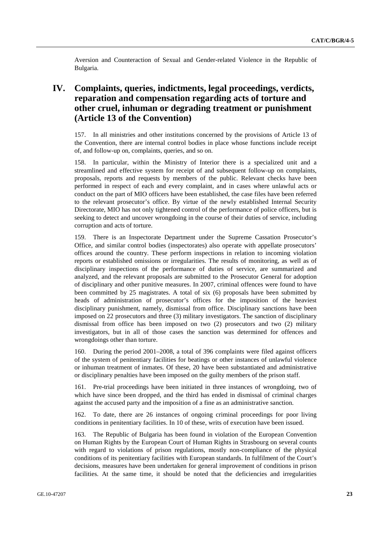Aversion and Counteraction of Sexual and Gender-related Violence in the Republic of Bulgaria.

## **IV. Complaints, queries, indictments, legal proceedings, verdicts, reparation and compensation regarding acts of torture and other cruel, inhuman or degrading treatment or punishment (Article 13 of the Convention)**

157. In all ministries and other institutions concerned by the provisions of Article 13 of the Convention, there are internal control bodies in place whose functions include receipt of, and follow-up on, complaints, queries, and so on.

158. In particular, within the Ministry of Interior there is a specialized unit and a streamlined and effective system for receipt of and subsequent follow-up on complaints, proposals, reports and requests by members of the public. Relevant checks have been performed in respect of each and every complaint, and in cases where unlawful acts or conduct on the part of MIO officers have been established, the case files have been referred to the relevant prosecutor's office. By virtue of the newly established Internal Security Directorate, MIO has not only tightened control of the performance of police officers, but is seeking to detect and uncover wrongdoing in the course of their duties of service, including corruption and acts of torture.

159. There is an Inspectorate Department under the Supreme Cassation Prosecutor's Office, and similar control bodies (inspectorates) also operate with appellate prosecutors' offices around the country. These perform inspections in relation to incoming violation reports or established omissions or irregularities. The results of monitoring, as well as of disciplinary inspections of the performance of duties of service, are summarized and analyzed, and the relevant proposals are submitted to the Prosecutor General for adoption of disciplinary and other punitive measures. In 2007, criminal offences were found to have been committed by 25 magistrates. A total of six (6) proposals have been submitted by heads of administration of prosecutor's offices for the imposition of the heaviest disciplinary punishment, namely, dismissal from office. Disciplinary sanctions have been imposed on 22 prosecutors and three (3) military investigators. The sanction of disciplinary dismissal from office has been imposed on two (2) prosecutors and two (2) military investigators, but in all of those cases the sanction was determined for offences and wrongdoings other than torture.

160. During the period 2001–2008, a total of 396 complaints were filed against officers of the system of penitentiary facilities for beatings or other instances of unlawful violence or inhuman treatment of inmates. Of these, 20 have been substantiated and administrative or disciplinary penalties have been imposed on the guilty members of the prison staff.

161. Pre-trial proceedings have been initiated in three instances of wrongdoing, two of which have since been dropped, and the third has ended in dismissal of criminal charges against the accused party and the imposition of a fine as an administrative sanction.

162. To date, there are 26 instances of ongoing criminal proceedings for poor living conditions in penitentiary facilities. In 10 of these, writs of execution have been issued.

163. The Republic of Bulgaria has been found in violation of the European Convention on Human Rights by the European Court of Human Rights in Strasbourg on several counts with regard to violations of prison regulations, mostly non-compliance of the physical conditions of its penitentiary facilities with European standards. In fulfilment of the Court's decisions, measures have been undertaken for general improvement of conditions in prison facilities. At the same time, it should be noted that the deficiencies and irregularities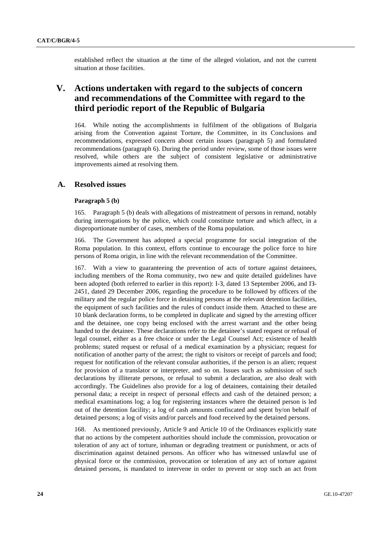established reflect the situation at the time of the alleged violation, and not the current situation at those facilities.

## **V. Actions undertaken with regard to the subjects of concern and recommendations of the Committee with regard to the third periodic report of the Republic of Bulgaria**

164. While noting the accomplishments in fulfilment of the obligations of Bulgaria arising from the Convention against Torture, the Committee, in its Conclusions and recommendations, expressed concern about certain issues (paragraph 5) and formulated recommendations (paragraph 6). During the period under review, some of those issues were resolved, while others are the subject of consistent legislative or administrative improvements aimed at resolving them.

## **A. Resolved issues**

#### **Paragraph 5 (b)**

165. Paragraph 5 (b) deals with allegations of mistreatment of persons in remand, notably during interrogations by the police, which could constitute torture and which affect, in a disproportionate number of cases, members of the Roma population.

166. The Government has adopted a special programme for social integration of the Roma population. In this context, efforts continue to encourage the police force to hire persons of Roma origin, in line with the relevant recommendation of the Committee.

167. With a view to guaranteeing the prevention of acts of torture against detainees, including members of the Roma community, two new and quite detailed guidelines have been adopted (both referred to earlier in this report): I-З, dated 13 September 2006, and ІЗ-2451, dated 29 December 2006, regarding the procedure to be followed by officers of the military and the regular police force in detaining persons at the relevant detention facilities, the equipment of such facilities and the rules of conduct inside them. Attached to these are 10 blank declaration forms, to be completed in duplicate and signed by the arresting officer and the detainee, one copy being enclosed with the arrest warrant and the other being handed to the detainee. These declarations refer to the detainee's stated request or refusal of legal counsel, either as a free choice or under the Legal Counsel Act; existence of health problems; stated request or refusal of a medical examination by a physician; request for notification of another party of the arrest; the right to visitors or receipt of parcels and food; request for notification of the relevant consular authorities, if the person is an alien; request for provision of a translator or interpreter, and so on. Issues such as submission of such declarations by illiterate persons, or refusal to submit a declaration, are also dealt with accordingly. The Guidelines also provide for a log of detainees, containing their detailed personal data; a receipt in respect of personal effects and cash of the detained person; a medical examinations log; a log for registering instances where the detained person is led out of the detention facility; a log of cash amounts confiscated and spent by/on behalf of detained persons; a log of visits and/or parcels and food received by the detained persons.

168. As mentioned previously, Article 9 and Article 10 of the Ordinances explicitly state that no actions by the competent authorities should include the commission, provocation or toleration of any act of torture, inhuman or degrading treatment or punishment, or acts of discrimination against detained persons. An officer who has witnessed unlawful use of physical force or the commission, provocation or toleration of any act of torture against detained persons, is mandated to intervene in order to prevent or stop such an act from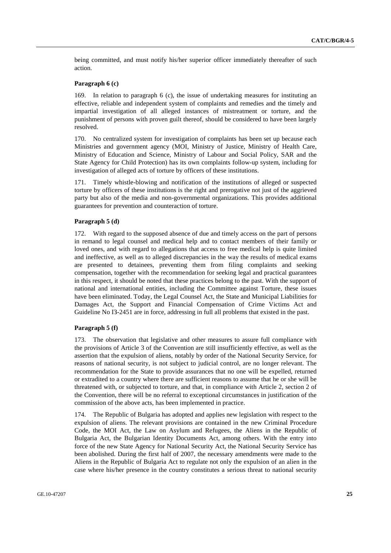being committed, and must notify his/her superior officer immediately thereafter of such action.

### **Paragraph 6 (c)**

169. In relation to paragraph 6 (c), the issue of undertaking measures for instituting an effective, reliable and independent system of complaints and remedies and the timely and impartial investigation of all alleged instances of mistreatment or torture, and the punishment of persons with proven guilt thereof, should be considered to have been largely resolved.

170. No centralized system for investigation of complaints has been set up because each Ministries and government agency (MOI, Ministry of Justice, Ministry of Health Care, Ministry of Education and Science, Ministry of Labour and Social Policy, SAR and the State Agency for Child Protection) has its own complaints follow-up system, including for investigation of alleged acts of torture by officers of these institutions.

171. Timely whistle-blowing and notification of the institutions of alleged or suspected torture by officers of these institutions is the right and prerogative not just of the aggrieved party but also of the media and non-governmental organizations. This provides additional guarantees for prevention and counteraction of torture.

### **Paragraph 5 (d)**

172. With regard to the supposed absence of due and timely access on the part of persons in remand to legal counsel and medical help and to contact members of their family or loved ones, and with regard to allegations that access to free medical help is quite limited and ineffective, as well as to alleged discrepancies in the way the results of medical exams are presented to detainees, preventing them from filing complaints and seeking compensation, together with the recommendation for seeking legal and practical guarantees in this respect, it should be noted that these practices belong to the past. With the support of national and international entities, including the Committee against Torture, these issues have been eliminated. Today, the Legal Counsel Act, the State and Municipal Liabilities for Damages Act, the Support and Financial Compensation of Crime Victims Act and Guideline No I3-2451 are in force, addressing in full all problems that existed in the past.

#### **Paragraph 5 (f)**

173. The observation that legislative and other measures to assure full compliance with the provisions of Article 3 of the Convention are still insufficiently effective, as well as the assertion that the expulsion of aliens, notably by order of the National Security Service, for reasons of national security, is not subject to judicial control, are no longer relevant. The recommendation for the State to provide assurances that no one will be expelled, returned or extradited to a country where there are sufficient reasons to assume that he or she will be threatened with, or subjected to torture, and that, in compliance with Article 2, section 2 of the Convention, there will be no referral to exceptional circumstances in justification of the commission of the above acts, has been implemented in practice.

174. The Republic of Bulgaria has adopted and applies new legislation with respect to the expulsion of aliens. The relevant provisions are contained in the new Criminal Procedure Code, the MOI Act, the Law on Asylum and Refugees, the Aliens in the Republic of Bulgaria Act, the Bulgarian Identity Documents Act, among others. With the entry into force of the new State Agency for National Security Act, the National Security Service has been abolished. During the first half of 2007, the necessary amendments were made to the Aliens in the Republic of Bulgaria Act to regulate not only the expulsion of an alien in the case where his/her presence in the country constitutes a serious threat to national security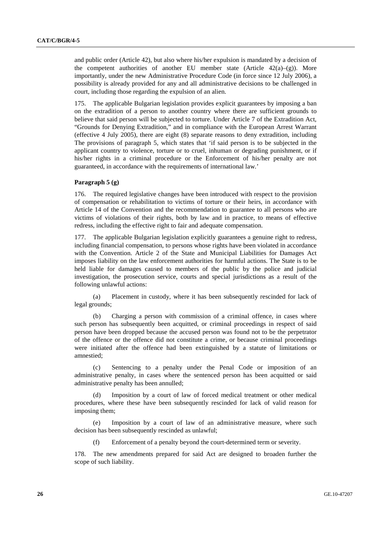and public order (Article 42), but also where his/her expulsion is mandated by a decision of the competent authorities of another EU member state (Article  $42(a)-(g)$ ). More importantly, under the new Administrative Procedure Code (in force since 12 July 2006), a possibility is already provided for any and all administrative decisions to be challenged in court, including those regarding the expulsion of an alien.

175. The applicable Bulgarian legislation provides explicit guarantees by imposing a ban on the extradition of a person to another country where there are sufficient grounds to believe that said person will be subjected to torture. Under Article 7 of the Extradition Act, "Grounds for Denying Extradition," and in compliance with the European Arrest Warrant (effective 4 July 2005), there are eight (8) separate reasons to deny extradition, including The provisions of paragraph 5, which states that 'if said person is to be subjected in the applicant country to violence, torture or to cruel, inhuman or degrading punishment, or if his/her rights in a criminal procedure or the Enforcement of his/her penalty are not guaranteed, in accordance with the requirements of international law.'

### **Paragraph 5 (g)**

176. The required legislative changes have been introduced with respect to the provision of compensation or rehabilitation to victims of torture or their heirs, in accordance with Article 14 of the Convention and the recommendation to guarantee to all persons who are victims of violations of their rights, both by law and in practice, to means of effective redress, including the effective right to fair and adequate compensation.

177. The applicable Bulgarian legislation explicitly guarantees a genuine right to redress, including financial compensation, to persons whose rights have been violated in accordance with the Convention. Article 2 of the State and Municipal Liabilities for Damages Act imposes liability on the law enforcement authorities for harmful actions. The State is to be held liable for damages caused to members of the public by the police and judicial investigation, the prosecution service, courts and special jurisdictions as a result of the following unlawful actions:

 (a) Placement in custody, where it has been subsequently rescinded for lack of legal grounds;

 (b) Charging a person with commission of a criminal offence, in cases where such person has subsequently been acquitted, or criminal proceedings in respect of said person have been dropped because the accused person was found not to be the perpetrator of the offence or the offence did not constitute a crime, or because criminal proceedings were initiated after the offence had been extinguished by a statute of limitations or amnestied;

 (c) Sentencing to a penalty under the Penal Code or imposition of an administrative penalty, in cases where the sentenced person has been acquitted or said administrative penalty has been annulled;

 (d) Imposition by a court of law of forced medical treatment or other medical procedures, where these have been subsequently rescinded for lack of valid reason for imposing them;

 (e) Imposition by a court of law of an administrative measure, where such decision has been subsequently rescinded as unlawful;

(f) Enforcement of a penalty beyond the court-determined term or severity.

178. The new amendments prepared for said Act are designed to broaden further the scope of such liability.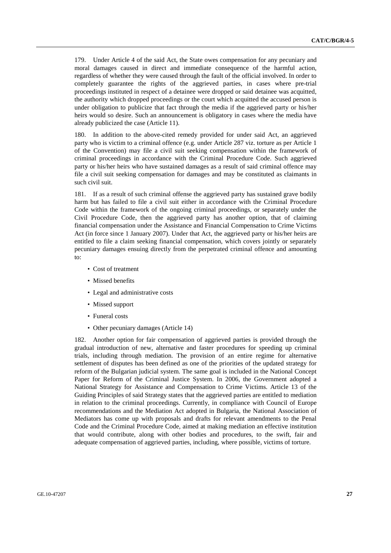179. Under Article 4 of the said Act, the State owes compensation for any pecuniary and moral damages caused in direct and immediate consequence of the harmful action, regardless of whether they were caused through the fault of the official involved. In order to completely guarantee the rights of the aggrieved parties, in cases where pre-trial proceedings instituted in respect of a detainee were dropped or said detainee was acquitted, the authority which dropped proceedings or the court which acquitted the accused person is under obligation to publicize that fact through the media if the aggrieved party or his/her heirs would so desire. Such an announcement is obligatory in cases where the media have already publicized the case (Article 11).

180. In addition to the above-cited remedy provided for under said Act, an aggrieved party who is victim to a criminal offence (e.g. under Article 287 viz. torture as per Article 1 of the Convention) may file a civil suit seeking compensation within the framework of criminal proceedings in accordance with the Criminal Procedure Code. Such aggrieved party or his/her heirs who have sustained damages as a result of said criminal offence may file a civil suit seeking compensation for damages and may be constituted as claimants in such civil suit.

181. If as a result of such criminal offense the aggrieved party has sustained grave bodily harm but has failed to file a civil suit either in accordance with the Criminal Procedure Code within the framework of the ongoing criminal proceedings, or separately under the Civil Procedure Code, then the aggrieved party has another option, that of claiming financial compensation under the Assistance and Financial Compensation to Crime Victims Act (in force since 1 January 2007). Under that Act, the aggrieved party or his/her heirs are entitled to file a claim seeking financial compensation, which covers jointly or separately pecuniary damages ensuing directly from the perpetrated criminal offence and amounting to:

- Cost of treatment
- Missed benefits
- Legal and administrative costs
- Missed support
- Funeral costs
- Other pecuniary damages (Article 14)

182. Another option for fair compensation of aggrieved parties is provided through the gradual introduction of new, alternative and faster procedures for speeding up criminal trials, including through mediation. The provision of an entire regime for alternative settlement of disputes has been defined as one of the priorities of the updated strategy for reform of the Bulgarian judicial system. The same goal is included in the National Concept Paper for Reform of the Criminal Justice System. In 2006, the Government adopted a National Strategy for Assistance and Compensation to Crime Victims. Article 13 of the Guiding Principles of said Strategy states that the aggrieved parties are entitled to mediation in relation to the criminal proceedings. Currently, in compliance with Council of Europe recommendations and the Mediation Act adopted in Bulgaria, the National Association of Mediators has come up with proposals and drafts for relevant amendments to the Penal Code and the Criminal Procedure Code, aimed at making mediation an effective institution that would contribute, along with other bodies and procedures, to the swift, fair and adequate compensation of aggrieved parties, including, where possible, victims of torture.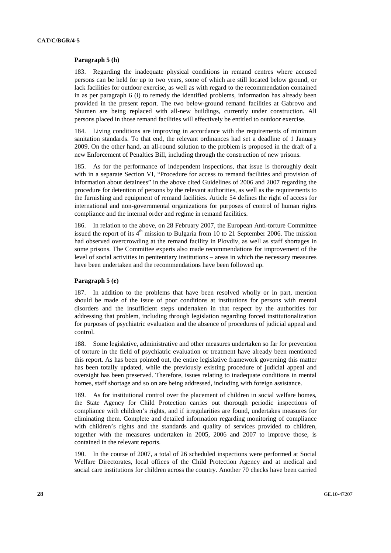#### **Paragraph 5 (h)**

183. Regarding the inadequate physical conditions in remand centres where accused persons can be held for up to two years, some of which are still located below ground, or lack facilities for outdoor exercise, as well as with regard to the recommendation contained in as per paragraph 6 (i) to remedy the identified problems, information has already been provided in the present report. The two below-ground remand facilities at Gabrovo and Shumen are being replaced with all-new buildings, currently under construction. All persons placed in those remand facilities will effectively be entitled to outdoor exercise.

184. Living conditions are improving in accordance with the requirements of minimum sanitation standards. To that end, the relevant ordinances had set a deadline of 1 January 2009. On the other hand, an all-round solution to the problem is proposed in the draft of a new Enforcement of Penalties Bill, including through the construction of new prisons.

185. As for the performance of independent inspections, that issue is thoroughly dealt with in a separate Section VI, "Procedure for access to remand facilities and provision of information about detainees" in the above cited Guidelines of 2006 and 2007 regarding the procedure for detention of persons by the relevant authorities, as well as the requirements to the furnishing and equipment of remand facilities. Article 54 defines the right of access for international and non-governmental organizations for purposes of control of human rights compliance and the internal order and regime in remand facilities.

186. In relation to the above, on 28 February 2007, the European Anti-torture Committee issued the report of its  $4<sup>th</sup>$  mission to Bulgaria from 10 to 21 September 2006. The mission had observed overcrowding at the remand facility in Plovdiv, as well as staff shortages in some prisons. The Committee experts also made recommendations for improvement of the level of social activities in penitentiary institutions – areas in which the necessary measures have been undertaken and the recommendations have been followed up.

### **Paragraph 5 (e)**

187. In addition to the problems that have been resolved wholly or in part, mention should be made of the issue of poor conditions at institutions for persons with mental disorders and the insufficient steps undertaken in that respect by the authorities for addressing that problem, including through legislation regarding forced institutionalization for purposes of psychiatric evaluation and the absence of procedures of judicial appeal and control.

188. Some legislative, administrative and other measures undertaken so far for prevention of torture in the field of psychiatric evaluation or treatment have already been mentioned this report. As has been pointed out, the entire legislative framework governing this matter has been totally updated, while the previously existing procedure of judicial appeal and oversight has been preserved. Therefore, issues relating to inadequate conditions in mental homes, staff shortage and so on are being addressed, including with foreign assistance.

189. As for institutional control over the placement of children in social welfare homes, the State Agency for Child Protection carries out thorough periodic inspections of compliance with children's rights, and if irregularities are found, undertakes measures for eliminating them. Complete and detailed information regarding monitoring of compliance with children's rights and the standards and quality of services provided to children, together with the measures undertaken in 2005, 2006 and 2007 to improve those, is contained in the relevant reports.

190. In the course of 2007, a total of 26 scheduled inspections were performed at Social Welfare Directorates, local offices of the Child Protection Agency and at medical and social care institutions for children across the country. Another 70 checks have been carried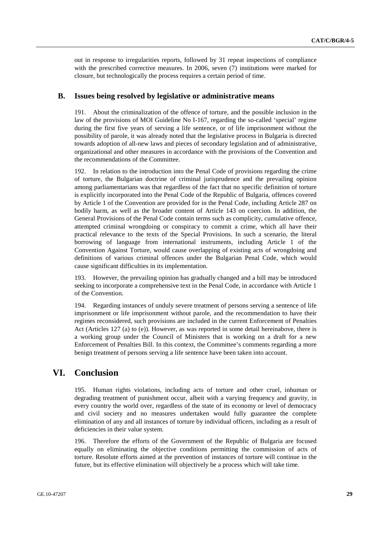out in response to irregularities reports, followed by 31 repeat inspections of compliance with the prescribed corrective measures. In 2006, seven (7) institutions were marked for closure, but technologically the process requires a certain period of time.

### **B. Issues being resolved by legislative or administrative means**

191. About the criminalization of the offence of torture, and the possible inclusion in the law of the provisions of MOI Guideline No І-167, regarding the so-called 'special' regime during the first five years of serving a life sentence, or of life imprisonment without the possibility of parole, it was already noted that the legislative process in Bulgaria is directed towards adoption of all-new laws and pieces of secondary legislation and of administrative, organizational and other measures in accordance with the provisions of the Convention and the recommendations of the Committee.

192. In relation to the introduction into the Penal Code of provisions regarding the crime of torture, the Bulgarian doctrine of criminal jurisprudence and the prevailing opinion among parliamentarians was that regardless of the fact that no specific definition of torture is explicitly incorporated into the Penal Code of the Republic of Bulgaria, offences covered by Article 1 of the Convention are provided for in the Penal Code, including Article 287 on bodily harm, as well as the broader content of Article 143 on coercion. In addition, the General Provisions of the Penal Code contain terms such as complicity, cumulative offence, attempted criminal wrongdoing or conspiracy to commit a crime, which all have their practical relevance to the texts of the Special Provisions. In such a scenario, the literal borrowing of language from international instruments, including Article 1 of the Convention Against Torture, would cause overlapping of existing acts of wrongdoing and definitions of various criminal offences under the Bulgarian Penal Code, which would cause significant difficulties in its implementation.

193. However, the prevailing opinion has gradually changed and a bill may be introduced seeking to incorporate a comprehensive text in the Penal Code, in accordance with Article 1 of the Convention.

194. Regarding instances of unduly severe treatment of persons serving a sentence of life imprisonment or life imprisonment without parole, and the recommendation to have their regimes reconsidered, such provisions are included in the current Enforcement of Penalties Act (Articles 127 (a) to (e)). However, as was reported in some detail hereinabove, there is a working group under the Council of Ministers that is working on a draft for a new Enforcement of Penalties Bill. In this context, the Committee's comments regarding a more benign treatment of persons serving a life sentence have been taken into account.

## **VI. Conclusion**

195. Human rights violations, including acts of torture and other cruel, inhuman or degrading treatment of punishment occur, albeit with a varying frequency and gravity, in every country the world over, regardless of the state of its economy or level of democracy and civil society and no measures undertaken would fully guarantee the complete elimination of any and all instances of torture by individual officers, including as a result of deficiencies in their value system.

196. Therefore the efforts of the Government of the Republic of Bulgaria are focused equally on eliminating the objective conditions permitting the commission of acts of torture. Resolute efforts aimed at the prevention of instances of torture will continue in the future, but its effective elimination will objectively be a process which will take time.